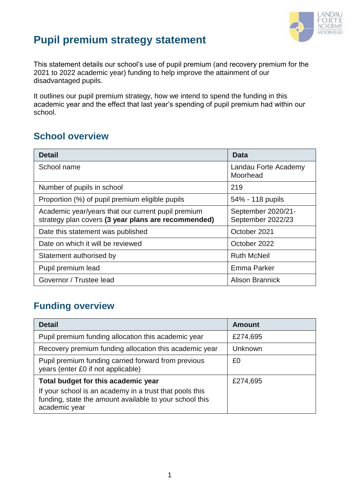

## **Pupil premium strategy statement**

This statement details our school's use of pupil premium (and recovery premium for the 2021 to 2022 academic year) funding to help improve the attainment of our disadvantaged pupils.

It outlines our pupil premium strategy, how we intend to spend the funding in this academic year and the effect that last year's spending of pupil premium had within our school.

### **School overview**

| <b>Detail</b>                                                                                             | Data                                    |
|-----------------------------------------------------------------------------------------------------------|-----------------------------------------|
| School name                                                                                               | Landau Forte Academy<br>Moorhead        |
| Number of pupils in school                                                                                | 219                                     |
| Proportion (%) of pupil premium eligible pupils                                                           | 54% - 118 pupils                        |
| Academic year/years that our current pupil premium<br>strategy plan covers (3 year plans are recommended) | September 2020/21-<br>September 2022/23 |
| Date this statement was published                                                                         | October 2021                            |
| Date on which it will be reviewed                                                                         | October 2022                            |
| Statement authorised by                                                                                   | <b>Ruth McNeil</b>                      |
| Pupil premium lead                                                                                        | Emma Parker                             |
| Governor / Trustee lead                                                                                   | <b>Alison Brannick</b>                  |

## **Funding overview**

| <b>Detail</b>                                                                                                                       | <b>Amount</b> |
|-------------------------------------------------------------------------------------------------------------------------------------|---------------|
| Pupil premium funding allocation this academic year                                                                                 | £274,695      |
| Recovery premium funding allocation this academic year                                                                              | Unknown       |
| Pupil premium funding carried forward from previous<br>years (enter £0 if not applicable)                                           | £0            |
| Total budget for this academic year                                                                                                 | £274,695      |
| If your school is an academy in a trust that pools this<br>funding, state the amount available to your school this<br>academic year |               |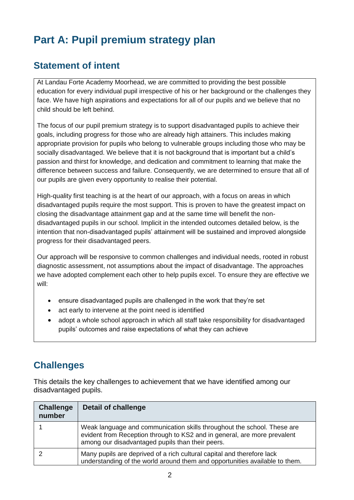# **Part A: Pupil premium strategy plan**

### **Statement of intent**

At Landau Forte Academy Moorhead, we are committed to providing the best possible education for every individual pupil irrespective of his or her background or the challenges they face. We have high aspirations and expectations for all of our pupils and we believe that no child should be left behind.

The focus of our pupil premium strategy is to support disadvantaged pupils to achieve their goals, including progress for those who are already high attainers. This includes making appropriate provision for pupils who belong to vulnerable groups including those who may be socially disadvantaged. We believe that it is not background that is important but a child's passion and thirst for knowledge, and dedication and commitment to learning that make the difference between success and failure. Consequently, we are determined to ensure that all of our pupils are given every opportunity to realise their potential.

High-quality first teaching is at the heart of our approach, with a focus on areas in which disadvantaged pupils require the most support. This is proven to have the greatest impact on closing the disadvantage attainment gap and at the same time will benefit the nondisadvantaged pupils in our school. Implicit in the intended outcomes detailed below, is the intention that non-disadvantaged pupils' attainment will be sustained and improved alongside progress for their disadvantaged peers.

Our approach will be responsive to common challenges and individual needs, rooted in robust diagnostic assessment, not assumptions about the impact of disadvantage. The approaches we have adopted complement each other to help pupils excel. To ensure they are effective we will:

- ensure disadvantaged pupils are challenged in the work that they're set
- act early to intervene at the point need is identified
- adopt a whole school approach in which all staff take responsibility for disadvantaged pupils' outcomes and raise expectations of what they can achieve

## **Challenges**

This details the key challenges to achievement that we have identified among our disadvantaged pupils.

| <b>Challenge</b><br>number | <b>Detail of challenge</b>                                                                                                                                                                              |
|----------------------------|---------------------------------------------------------------------------------------------------------------------------------------------------------------------------------------------------------|
|                            | Weak language and communication skills throughout the school. These are<br>evident from Reception through to KS2 and in general, are more prevalent<br>among our disadvantaged pupils than their peers. |
|                            | Many pupils are deprived of a rich cultural capital and therefore lack<br>understanding of the world around them and opportunities available to them.                                                   |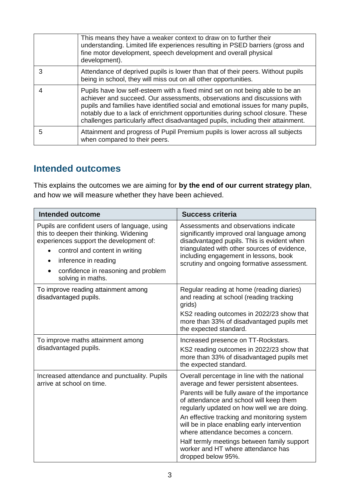|   | This means they have a weaker context to draw on to further their<br>understanding. Limited life experiences resulting in PSED barriers (gross and<br>fine motor development, speech development and overall physical<br>development).                                                                                                                                                                             |
|---|--------------------------------------------------------------------------------------------------------------------------------------------------------------------------------------------------------------------------------------------------------------------------------------------------------------------------------------------------------------------------------------------------------------------|
| 3 | Attendance of deprived pupils is lower than that of their peers. Without pupils<br>being in school, they will miss out on all other opportunities.                                                                                                                                                                                                                                                                 |
|   | Pupils have low self-esteem with a fixed mind set on not being able to be an<br>achiever and succeed. Our assessments, observations and discussions with<br>pupils and families have identified social and emotional issues for many pupils,<br>notably due to a lack of enrichment opportunities during school closure. These<br>challenges particularly affect disadvantaged pupils, including their attainment. |
| 5 | Attainment and progress of Pupil Premium pupils is lower across all subjects<br>when compared to their peers.                                                                                                                                                                                                                                                                                                      |

## **Intended outcomes**

This explains the outcomes we are aiming for **by the end of our current strategy plan**, and how we will measure whether they have been achieved.

| <b>Intended outcome</b>                                                                                                                                                                                                                                                             | <b>Success criteria</b>                                                                                                                                                                                                                                                                                                                                                                                                                                                             |  |
|-------------------------------------------------------------------------------------------------------------------------------------------------------------------------------------------------------------------------------------------------------------------------------------|-------------------------------------------------------------------------------------------------------------------------------------------------------------------------------------------------------------------------------------------------------------------------------------------------------------------------------------------------------------------------------------------------------------------------------------------------------------------------------------|--|
| Pupils are confident users of language, using<br>this to deepen their thinking. Widening<br>experiences support the development of:<br>control and content in writing<br>$\bullet$<br>inference in reading<br>$\bullet$<br>confidence in reasoning and problem<br>solving in maths. | Assessments and observations indicate<br>significantly improved oral language among<br>disadvantaged pupils. This is evident when<br>triangulated with other sources of evidence,<br>including engagement in lessons, book<br>scrutiny and ongoing formative assessment.                                                                                                                                                                                                            |  |
| To improve reading attainment among<br>disadvantaged pupils.                                                                                                                                                                                                                        | Regular reading at home (reading diaries)<br>and reading at school (reading tracking<br>grids)<br>KS2 reading outcomes in 2022/23 show that<br>more than 33% of disadvantaged pupils met<br>the expected standard.                                                                                                                                                                                                                                                                  |  |
| To improve maths attainment among<br>disadvantaged pupils.                                                                                                                                                                                                                          | Increased presence on TT-Rockstars.<br>KS2 reading outcomes in 2022/23 show that<br>more than 33% of disadvantaged pupils met<br>the expected standard.                                                                                                                                                                                                                                                                                                                             |  |
| Increased attendance and punctuality. Pupils<br>arrive at school on time.                                                                                                                                                                                                           | Overall percentage in line with the national<br>average and fewer persistent absentees.<br>Parents will be fully aware of the importance<br>of attendance and school will keep them<br>regularly updated on how well we are doing.<br>An effective tracking and monitoring system<br>will be in place enabling early intervention<br>where attendance becomes a concern.<br>Half termly meetings between family support<br>worker and HT where attendance has<br>dropped below 95%. |  |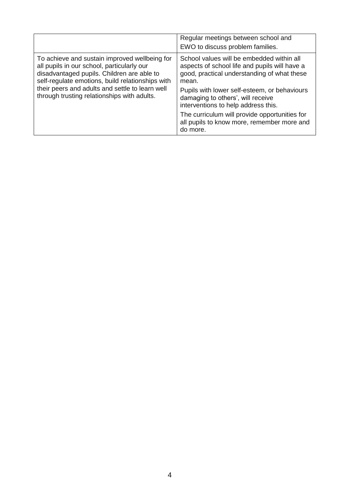|                                                                                                                                                                                                                                                                                                 | Regular meetings between school and<br>EWO to discuss problem families.                                                                                                                                                                                                                                                                                                                   |
|-------------------------------------------------------------------------------------------------------------------------------------------------------------------------------------------------------------------------------------------------------------------------------------------------|-------------------------------------------------------------------------------------------------------------------------------------------------------------------------------------------------------------------------------------------------------------------------------------------------------------------------------------------------------------------------------------------|
| To achieve and sustain improved wellbeing for<br>all pupils in our school, particularly our<br>disadvantaged pupils. Children are able to<br>self-regulate emotions, build relationships with<br>their peers and adults and settle to learn well<br>through trusting relationships with adults. | School values will be embedded within all<br>aspects of school life and pupils will have a<br>good, practical understanding of what these<br>mean.<br>Pupils with lower self-esteem, or behaviours<br>damaging to others', will receive<br>interventions to help address this.<br>The curriculum will provide opportunities for<br>all pupils to know more, remember more and<br>do more. |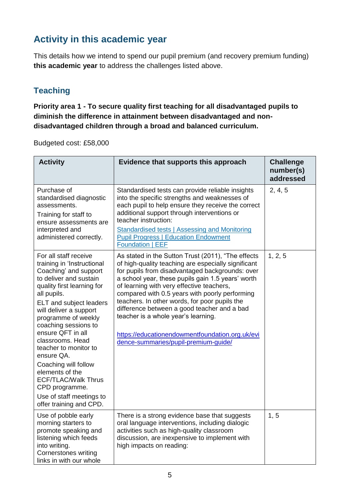## **Activity in this academic year**

This details how we intend to spend our pupil premium (and recovery premium funding) **this academic year** to address the challenges listed above.

#### **Teaching**

**Priority area 1 - To secure quality first teaching for all disadvantaged pupils to diminish the difference in attainment between disadvantaged and nondisadvantaged children through a broad and balanced curriculum.**

Budgeted cost: £58,000

| <b>Activity</b>                                                                                                                                                                                                                                                                                                                                                                                                                                                                                  | Evidence that supports this approach                                                                                                                                                                                                                                                                                                                                                                                                                                                                                                               | <b>Challenge</b><br>number(s)<br>addressed |
|--------------------------------------------------------------------------------------------------------------------------------------------------------------------------------------------------------------------------------------------------------------------------------------------------------------------------------------------------------------------------------------------------------------------------------------------------------------------------------------------------|----------------------------------------------------------------------------------------------------------------------------------------------------------------------------------------------------------------------------------------------------------------------------------------------------------------------------------------------------------------------------------------------------------------------------------------------------------------------------------------------------------------------------------------------------|--------------------------------------------|
| Purchase of<br>standardised diagnostic<br>assessments.<br>Training for staff to<br>ensure assessments are<br>interpreted and<br>administered correctly.                                                                                                                                                                                                                                                                                                                                          | Standardised tests can provide reliable insights<br>into the specific strengths and weaknesses of<br>each pupil to help ensure they receive the correct<br>additional support through interventions or<br>teacher instruction:<br><b>Standardised tests   Assessing and Monitoring</b><br><b>Pupil Progress   Education Endowment</b><br><b>Foundation   EEF</b>                                                                                                                                                                                   | 2, 4, 5                                    |
| For all staff receive<br>training in 'Instructional<br>Coaching' and support<br>to deliver and sustain<br>quality first learning for<br>all pupils.<br><b>ELT</b> and subject leaders<br>will deliver a support<br>programme of weekly<br>coaching sessions to<br>ensure QFT in all<br>classrooms. Head<br>teacher to monitor to<br>ensure QA.<br>Coaching will follow<br>elements of the<br><b>ECF/TLAC/Walk Thrus</b><br>CPD programme.<br>Use of staff meetings to<br>offer training and CPD. | As stated in the Sutton Trust (2011), "The effects<br>of high-quality teaching are especially significant<br>for pupils from disadvantaged backgrounds: over<br>a school year, these pupils gain 1.5 years' worth<br>of learning with very effective teachers,<br>compared with 0.5 years with poorly performing<br>teachers. In other words, for poor pupils the<br>difference between a good teacher and a bad<br>teacher is a whole year's learning.<br>https://educationendowmentfoundation.org.uk/evi<br>dence-summaries/pupil-premium-guide/ | 1, 2, 5                                    |
| Use of pobble early<br>morning starters to<br>promote speaking and<br>listening which feeds<br>into writing.<br><b>Cornerstones writing</b><br>links in with our whole                                                                                                                                                                                                                                                                                                                           | There is a strong evidence base that suggests<br>oral language interventions, including dialogic<br>activities such as high-quality classroom<br>discussion, are inexpensive to implement with<br>high impacts on reading:                                                                                                                                                                                                                                                                                                                         | 1, 5                                       |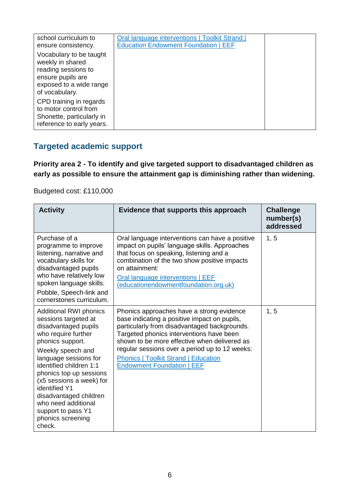| school curriculum to<br>ensure consistency.                                                                                          | Oral language interventions   Toolkit Strand  <br><b>Education Endowment Foundation   EEF</b> |  |
|--------------------------------------------------------------------------------------------------------------------------------------|-----------------------------------------------------------------------------------------------|--|
| Vocabulary to be taught<br>weekly in shared<br>reading sessions to<br>ensure pupils are<br>exposed to a wide range<br>of vocabulary. |                                                                                               |  |
| CPD training in regards<br>to motor control from<br>Shonette, particularly in<br>reference to early years.                           |                                                                                               |  |

#### **Targeted academic support**

**Priority area 2 - To identify and give targeted support to disadvantaged children as early as possible to ensure the attainment gap is diminishing rather than widening.**

Budgeted cost: £110,000

| <b>Activity</b>                                                                                                                                                                                                                                                                                                                                                                 | Evidence that supports this approach                                                                                                                                                                                                                                                                                                                                        | <b>Challenge</b><br>number(s)<br>addressed |
|---------------------------------------------------------------------------------------------------------------------------------------------------------------------------------------------------------------------------------------------------------------------------------------------------------------------------------------------------------------------------------|-----------------------------------------------------------------------------------------------------------------------------------------------------------------------------------------------------------------------------------------------------------------------------------------------------------------------------------------------------------------------------|--------------------------------------------|
| Purchase of a<br>programme to improve<br>listening, narrative and<br>vocabulary skills for<br>disadvantaged pupils<br>who have relatively low<br>spoken language skills.<br>Pobble, Speech-link and<br>cornerstones curriculum.                                                                                                                                                 | Oral language interventions can have a positive<br>impact on pupils' language skills. Approaches<br>that focus on speaking, listening and a<br>combination of the two show positive impacts<br>on attainment:<br>Oral language interventions   EEF<br>(educationendowmentfoundation.org.uk)                                                                                 | 1, 5                                       |
| <b>Additional RWI phonics</b><br>sessions targeted at<br>disadvantaged pupils<br>who require further<br>phonics support.<br>Weekly speech and<br>language sessions for<br>identified children 1:1<br>phonics top up sessions<br>(x5 sessions a week) for<br>identified Y1<br>disadvantaged children<br>who need additional<br>support to pass Y1<br>phonics screening<br>check. | Phonics approaches have a strong evidence<br>base indicating a positive impact on pupils,<br>particularly from disadvantaged backgrounds.<br>Targeted phonics interventions have been<br>shown to be more effective when delivered as<br>regular sessions over a period up to 12 weeks:<br><b>Phonics   Toolkit Strand   Education</b><br><b>Endowment Foundation   EEF</b> | 1, 5                                       |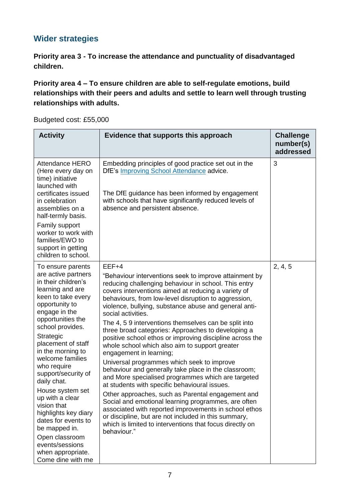#### **Wider strategies**

**Priority area 3 - To increase the attendance and punctuality of disadvantaged children.**

**Priority area 4 – To ensure children are able to self-regulate emotions, build relationships with their peers and adults and settle to learn well through trusting relationships with adults.**

Budgeted cost: £55,000

| <b>Activity</b>                                                                                                                                                                                                                                                                                                                                                                                                                                                                                                             | Evidence that supports this approach                                                                                                                                                                                                                                                                                                                                                                                                                                                                                                                                                                                                                                                                                                                                                                                                                                                                                                                                                                                                                                                                 | <b>Challenge</b><br>number(s)<br>addressed |
|-----------------------------------------------------------------------------------------------------------------------------------------------------------------------------------------------------------------------------------------------------------------------------------------------------------------------------------------------------------------------------------------------------------------------------------------------------------------------------------------------------------------------------|------------------------------------------------------------------------------------------------------------------------------------------------------------------------------------------------------------------------------------------------------------------------------------------------------------------------------------------------------------------------------------------------------------------------------------------------------------------------------------------------------------------------------------------------------------------------------------------------------------------------------------------------------------------------------------------------------------------------------------------------------------------------------------------------------------------------------------------------------------------------------------------------------------------------------------------------------------------------------------------------------------------------------------------------------------------------------------------------------|--------------------------------------------|
| Attendance HERO<br>(Here every day on<br>time) initiative<br>launched with<br>certificates issued<br>in celebration<br>assemblies on a<br>half-termly basis.<br>Family support<br>worker to work with<br>families/EWO to<br>support in getting<br>children to school.                                                                                                                                                                                                                                                       | Embedding principles of good practice set out in the<br>DfE's Improving School Attendance advice.<br>The DfE guidance has been informed by engagement<br>with schools that have significantly reduced levels of<br>absence and persistent absence.                                                                                                                                                                                                                                                                                                                                                                                                                                                                                                                                                                                                                                                                                                                                                                                                                                                   | 3                                          |
| To ensure parents<br>are active partners<br>in their children's<br>learning and are<br>keen to take every<br>opportunity to<br>engage in the<br>opportunities the<br>school provides.<br>Strategic<br>placement of staff<br>in the morning to<br>welcome families<br>who require<br>support/security of<br>daily chat.<br>House system set<br>up with a clear<br>vision that<br>highlights key diary<br>dates for events to<br>be mapped in.<br>Open classroom<br>events/sessions<br>when appropriate.<br>Come dine with me | $EEF+4$<br>"Behaviour interventions seek to improve attainment by<br>reducing challenging behaviour in school. This entry<br>covers interventions aimed at reducing a variety of<br>behaviours, from low-level disruption to aggression,<br>violence, bullying, substance abuse and general anti-<br>social activities.<br>The 4, 5 9 interventions themselves can be split into<br>three broad categories: Approaches to developing a<br>positive school ethos or improving discipline across the<br>whole school which also aim to support greater<br>engagement in learning;<br>Universal programmes which seek to improve<br>behaviour and generally take place in the classroom;<br>and More specialised programmes which are targeted<br>at students with specific behavioural issues.<br>Other approaches, such as Parental engagement and<br>Social and emotional learning programmes, are often<br>associated with reported improvements in school ethos<br>or discipline, but are not included in this summary,<br>which is limited to interventions that focus directly on<br>behaviour." | 2, 4, 5                                    |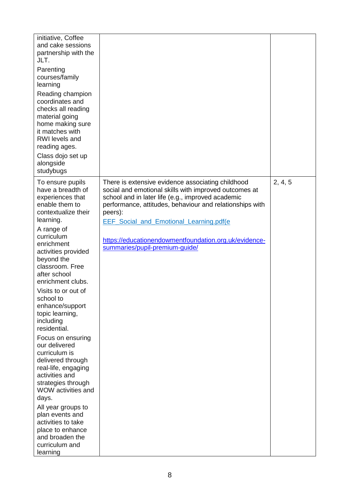| initiative, Coffee<br>and cake sessions<br>partnership with the<br>JLT.<br>Parenting<br>courses/family<br>learning<br>Reading champion<br>coordinates and<br>checks all reading<br>material going<br>home making sure<br>it matches with<br><b>RWI</b> levels and<br>reading ages.                                                                                                                                                                                                                                                                                                                                                                                          |                                                                                                                                                                                                                                                                                                                                                                                      |         |
|-----------------------------------------------------------------------------------------------------------------------------------------------------------------------------------------------------------------------------------------------------------------------------------------------------------------------------------------------------------------------------------------------------------------------------------------------------------------------------------------------------------------------------------------------------------------------------------------------------------------------------------------------------------------------------|--------------------------------------------------------------------------------------------------------------------------------------------------------------------------------------------------------------------------------------------------------------------------------------------------------------------------------------------------------------------------------------|---------|
| Class dojo set up<br>alongside<br>studybugs                                                                                                                                                                                                                                                                                                                                                                                                                                                                                                                                                                                                                                 |                                                                                                                                                                                                                                                                                                                                                                                      |         |
| To ensure pupils<br>have a breadth of<br>experiences that<br>enable them to<br>contextualize their<br>learning.<br>A range of<br>curriculum<br>enrichment<br>activities provided<br>beyond the<br>classroom. Free<br>after school<br>enrichment clubs.<br>Visits to or out of<br>school to<br>enhance/support<br>topic learning,<br>including<br>residential.<br>Focus on ensuring<br>our delivered<br>curriculum is<br>delivered through<br>real-life, engaging<br>activities and<br>strategies through<br>WOW activities and<br>days.<br>All year groups to<br>plan events and<br>activities to take<br>place to enhance<br>and broaden the<br>curriculum and<br>learning | There is extensive evidence associating childhood<br>social and emotional skills with improved outcomes at<br>school and in later life (e.g., improved academic<br>performance, attitudes, behaviour and relationships with<br>peers):<br><b>EEF</b> Social and Emotional Learning.pdf(e)<br>https://educationendowmentfoundation.org.uk/evidence-<br>summaries/pupil-premium-guide/ | 2, 4, 5 |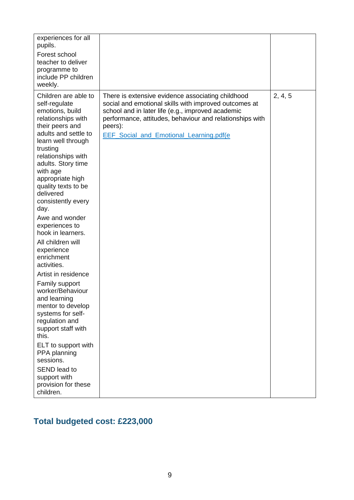| experiences for all<br>pupils.<br>Forest school<br>teacher to deliver<br>programme to<br>include PP children<br>weekly.                                                                                                                                                                                                                                                                                                                                                                                                                                                                                                                                                                                                                   |                                                                                                                                                                                                                                                                                           |         |
|-------------------------------------------------------------------------------------------------------------------------------------------------------------------------------------------------------------------------------------------------------------------------------------------------------------------------------------------------------------------------------------------------------------------------------------------------------------------------------------------------------------------------------------------------------------------------------------------------------------------------------------------------------------------------------------------------------------------------------------------|-------------------------------------------------------------------------------------------------------------------------------------------------------------------------------------------------------------------------------------------------------------------------------------------|---------|
| Children are able to<br>self-regulate<br>emotions, build<br>relationships with<br>their peers and<br>adults and settle to<br>learn well through<br>trusting<br>relationships with<br>adults. Story time<br>with age<br>appropriate high<br>quality texts to be<br>delivered<br>consistently every<br>day.<br>Awe and wonder<br>experiences to<br>hook in learners.<br>All children will<br>experience<br>enrichment<br>activities.<br>Artist in residence<br>Family support<br>worker/Behaviour<br>and learning<br>mentor to develop<br>systems for self-<br>regulation and<br>support staff with<br>this.<br>ELT to support with<br>PPA planning<br>sessions.<br><b>SEND lead to</b><br>support with<br>provision for these<br>children. | There is extensive evidence associating childhood<br>social and emotional skills with improved outcomes at<br>school and in later life (e.g., improved academic<br>performance, attitudes, behaviour and relationships with<br>peers):<br><b>EEF</b> Social and Emotional Learning.pdf(e) | 2, 4, 5 |

## **Total budgeted cost: £223,000**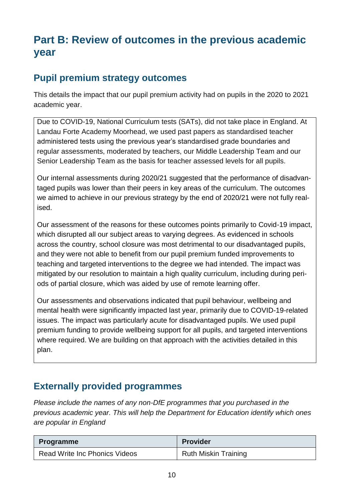## **Part B: Review of outcomes in the previous academic year**

### **Pupil premium strategy outcomes**

This details the impact that our pupil premium activity had on pupils in the 2020 to 2021 academic year.

Due to COVID-19, National Curriculum tests (SATs), did not take place in England. At Landau Forte Academy Moorhead, we used past papers as standardised teacher administered tests using the previous year's standardised grade boundaries and regular assessments, moderated by teachers, our Middle Leadership Team and our Senior Leadership Team as the basis for teacher assessed levels for all pupils.

Our internal assessments during 2020/21 suggested that the performance of disadvantaged pupils was lower than their peers in key areas of the curriculum. The outcomes we aimed to achieve in our previous strategy by the end of 2020/21 were not fully realised.

Our assessment of the reasons for these outcomes points primarily to Covid-19 impact, which disrupted all our subject areas to varying degrees. As evidenced in schools across the country, school closure was most detrimental to our disadvantaged pupils, and they were not able to benefit from our pupil premium funded improvements to teaching and targeted interventions to the degree we had intended. The impact was mitigated by our resolution to maintain a high quality curriculum, including during periods of partial closure, which was aided by use of remote learning offer.

Our assessments and observations indicated that pupil behaviour, wellbeing and mental health were significantly impacted last year, primarily due to COVID-19-related issues. The impact was particularly acute for disadvantaged pupils. We used pupil premium funding to provide wellbeing support for all pupils, and targeted interventions where required. We are building on that approach with the activities detailed in this plan.

### **Externally provided programmes**

*Please include the names of any non-DfE programmes that you purchased in the previous academic year. This will help the Department for Education identify which ones are popular in England*

| Programme                     | <b>Provider</b>             |
|-------------------------------|-----------------------------|
| Read Write Inc Phonics Videos | <b>Ruth Miskin Training</b> |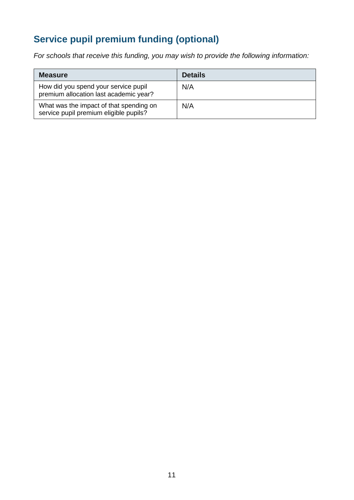## **Service pupil premium funding (optional)**

*For schools that receive this funding, you may wish to provide the following information:* 

| <b>Measure</b>                                                                    | <b>Details</b> |
|-----------------------------------------------------------------------------------|----------------|
| How did you spend your service pupil<br>premium allocation last academic year?    | N/A            |
| What was the impact of that spending on<br>service pupil premium eligible pupils? | N/A            |